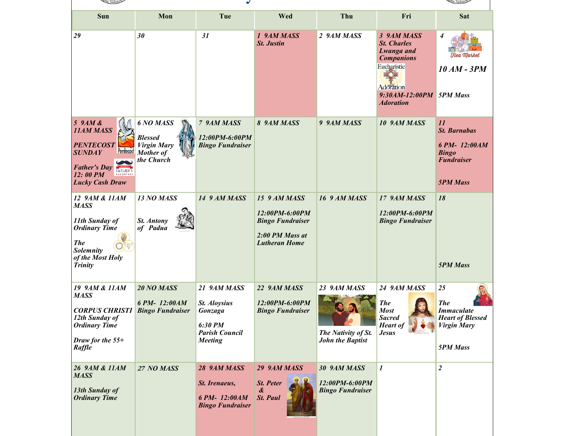| ina, Saskatc                                                                                                                                                                                            |                                                                              |                                                                                                     |                                                                                                      |                                                                           |                                                                                                                                                       |                                                                                                           |
|---------------------------------------------------------------------------------------------------------------------------------------------------------------------------------------------------------|------------------------------------------------------------------------------|-----------------------------------------------------------------------------------------------------|------------------------------------------------------------------------------------------------------|---------------------------------------------------------------------------|-------------------------------------------------------------------------------------------------------------------------------------------------------|-----------------------------------------------------------------------------------------------------------|
| Sun                                                                                                                                                                                                     | Mon                                                                          | Tue                                                                                                 | Wed                                                                                                  | Thu                                                                       | Fri                                                                                                                                                   | <b>Sat</b>                                                                                                |
| 29                                                                                                                                                                                                      | 30                                                                           | 31                                                                                                  | 1 9AM MASS<br><b>St. Justin</b>                                                                      | 2 9AM MASS                                                                | 3 9AM MASS<br><b>St. Charles</b><br><b>Lwanga</b> and<br><b>Companions</b><br>Eucharistic<br>Adoration<br>9:30AM-12:00PM 5PM Mass<br><b>Adoration</b> | $\boldsymbol{4}$<br>Hea Market<br><b>10 AM - 3PM</b>                                                      |
| 59AM &<br><b>11AM MASS</b><br><b>PENTECOST</b><br><b>Pentecost</b><br><b>SUNDAY</b><br><b>Father's Day</b><br>12:00 PM<br>$\bullet\bullet\bullet$ DAY $\bullet\bullet\bullet$<br><b>Lucky Cash Draw</b> | 6 NO MASS<br><b>Blessed</b><br><b>Virgin Mary</b><br>Mother of<br>the Church | 7 9AM MASS<br>12:00PM-6:00PM<br><b>Bingo Fundraiser</b>                                             | 8 9AM MASS                                                                                           | 9 9AM MASS                                                                | 10 9AM MASS                                                                                                                                           | 11<br><b>St. Barnabas</b><br>6 PM-12:00AM<br><b>Bingo</b><br><b>Fundraiser</b><br><b>5PM Mass</b>         |
| 12 9AM & 11AM<br><b>MASS</b><br>11th Sunday of<br><b>Ordinary Time</b><br><b>The</b><br><b>Solemnity</b><br>of the Most Holy<br>Trinity                                                                 | 13 NO MASS<br><b>St. Antony</b><br>of Padua                                  | 14 9 AM MASS                                                                                        | 15 9 AM MASS<br>12:00PM-6:00PM<br><b>Bingo Fundraiser</b><br>2:00 PM Mass at<br><b>Lutheran Home</b> | 16 9 AM MASS                                                              | 17 9AM MASS<br>12:00PM-6:00PM<br><b>Bingo Fundraiser</b>                                                                                              | 18<br><b>5PM Mass</b>                                                                                     |
| 19 9AM & 11AM<br><b>MASS</b><br><b>CORPUS CHRISTI</b><br>12th Sunday of<br><b>Ordinary Time</b><br>Draw for the 55+<br>Raffle                                                                           | 20 NO MASS<br>6 PM-12:00AM<br><b>Bingo Fundraiser</b>                        | 21 9AM MASS<br><b>St. Aloysius</b><br>Gonzaga<br>6:30 PM<br><b>Parish Council</b><br><b>Meeting</b> | 22 9AM MASS<br>12:00PM-6:00PM<br><b>Bingo Fundraiser</b>                                             | 23 9AM MASS<br>shuttory<br>The Nativity of St.<br><b>John the Baptist</b> | 24 9AM MASS<br><b>The</b><br><b>Most</b><br><b>Sacred</b><br><b>Heart of</b><br><b>Jesus</b>                                                          | 25<br><b>The</b><br><b>Immaculate</b><br><b>Heart of Blessed</b><br><b>Virgin Mary</b><br><b>5PM Mass</b> |
| 26 9AM & 11AM<br><b>MASS</b><br>13th Sunday of<br><b>Ordinary Time</b>                                                                                                                                  | 27 NO MASS                                                                   | 28 9AM MASS<br>St. Irenaeus,<br>6 PM-12:00AM<br><b>Bingo Fundraiser</b>                             | 29 9AM MASS<br><b>St. Peter</b><br>&<br><b>St. Paul</b>                                              | 30 9AM MASS<br>12:00PM-6:00PM<br><b>Bingo Fundraiser</b>                  | 1                                                                                                                                                     | $\overline{2}$                                                                                            |